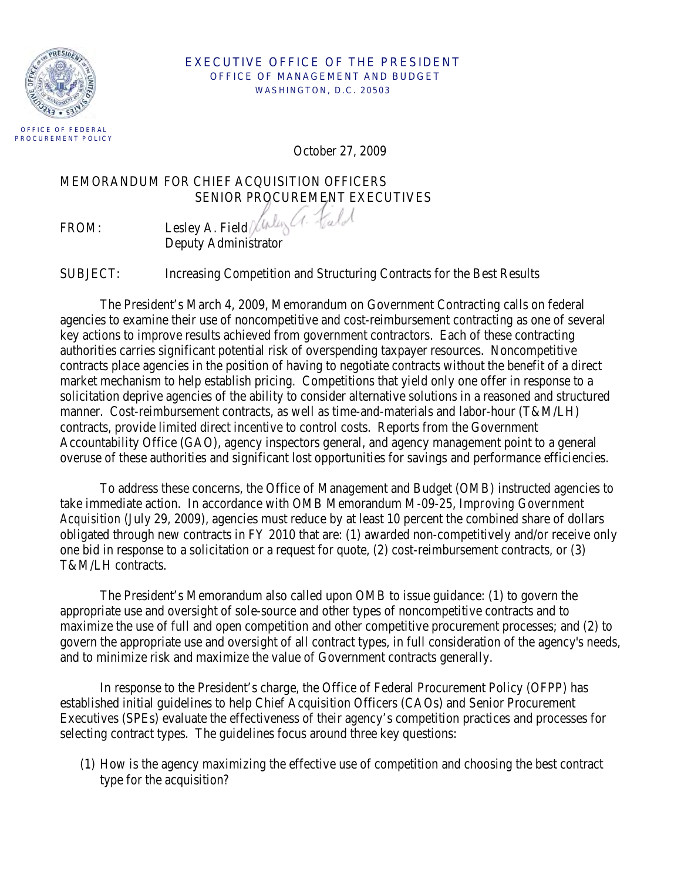

#### EXECUTIVE OFFICE OF THE PRESIDENT OFFICE OF MANAGEMENT AND BUDGET WASHINGTON, D.C. 20503

October 27, 2009

MEMORANDUM FOR CHIEF ACQUISITION OFFICERS SENIOR PROCUREMENT EXECUTIVES

 $E$ : Lesley A. Field Virley (1. Fuld Deputy Administrator

SUBJECT: Increasing Competition and Structuring Contracts for the Best Results

The President's March 4, 2009, Memorandum on Government Contracting calls on federal agencies to examine their use of noncompetitive and cost-reimbursement contracting as one of several key actions to improve results achieved from government contractors. Each of these contracting authorities carries significant potential risk of overspending taxpayer resources. Noncompetitive contracts place agencies in the position of having to negotiate contracts without the benefit of a direct market mechanism to help establish pricing. Competitions that yield only one offer in response to a solicitation deprive agencies of the ability to consider alternative solutions in a reasoned and structured manner. Cost-reimbursement contracts, as well as time-and-materials and labor-hour (T&M/LH) contracts, provide limited direct incentive to control costs. Reports from the Government Accountability Office (GAO), agency inspectors general, and agency management point to a general overuse of these authorities and significant lost opportunities for savings and performance efficiencies.

To address these concerns, the Office of Management and Budget (OMB) instructed agencies to take immediate action. In accordance with OMB Memorandum M-09-25, *Improving Government Acquisition* (July 29, 2009), agencies must reduce by at least 10 percent the combined share of dollars obligated through new contracts in FY 2010 that are: (1) awarded non-competitively and/or receive only one bid in response to a solicitation or a request for quote, (2) cost-reimbursement contracts, or (3) T&M/LH contracts.

The President's Memorandum also called upon OMB to issue guidance: (1) to govern the appropriate use and oversight of sole-source and other types of noncompetitive contracts and to maximize the use of full and open competition and other competitive procurement processes; and (2) to govern the appropriate use and oversight of all contract types, in full consideration of the agency's needs, and to minimize risk and maximize the value of Government contracts generally.

In response to the President's charge, the Office of Federal Procurement Policy (OFPP) has established initial guidelines to help Chief Acquisition Officers (CAOs) and Senior Procurement Executives (SPEs) evaluate the effectiveness of their agency's competition practices and processes for selecting contract types. The guidelines focus around three key questions:

(1) How is the agency maximizing the effective use of competition and choosing the best contract type for the acquisition?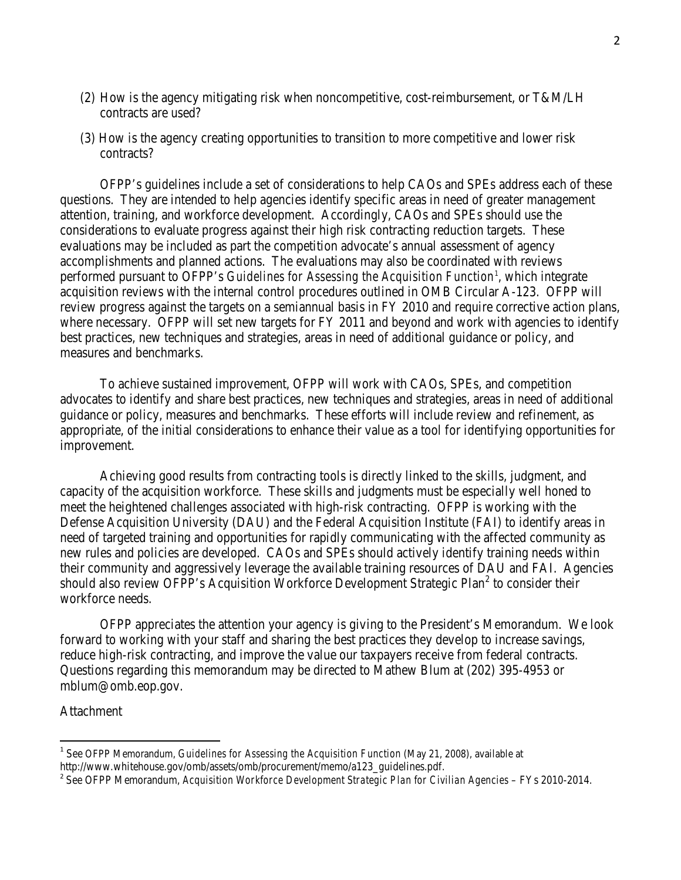- (2) How is the agency mitigating risk when noncompetitive, cost-reimbursement, or T&M/LH contracts are used?
- (3) How is the agency creating opportunities to transition to more competitive and lower risk contracts?

 OFPP's guidelines include a set of considerations to help CAOs and SPEs address each of these questions. They are intended to help agencies identify specific areas in need of greater management attention, training, and workforce development. Accordingly, CAOs and SPEs should use the considerations to evaluate progress against their high risk contracting reduction targets. These evaluations may be included as part the competition advocate's annual assessment of agency accomplishments and planned actions. The evaluations may also be coordinated with reviews performed pursuant to OFPP's *Guidelines for Assessing the Acquisition Function*<sup>[1](#page-1-0)</sup>, which integrate acquisition reviews with the internal control procedures outlined in OMB Circular A-123. OFPP will review progress against the targets on a semiannual basis in FY 2010 and require corrective action plans, where necessary. OFPP will set new targets for FY 2011 and beyond and work with agencies to identify best practices, new techniques and strategies, areas in need of additional guidance or policy, and measures and benchmarks.

 To achieve sustained improvement, OFPP will work with CAOs, SPEs, and competition advocates to identify and share best practices, new techniques and strategies, areas in need of additional guidance or policy, measures and benchmarks. These efforts will include review and refinement, as appropriate, of the initial considerations to enhance their value as a tool for identifying opportunities for improvement.

Achieving good results from contracting tools is directly linked to the skills, judgment, and capacity of the acquisition workforce. These skills and judgments must be especially well honed to meet the heightened challenges associated with high-risk contracting. OFPP is working with the Defense Acquisition University (DAU) and the Federal Acquisition Institute (FAI) to identify areas in need of targeted training and opportunities for rapidly communicating with the affected community as new rules and policies are developed. CAOs and SPEs should actively identify training needs within their community and aggressively leverage the available training resources of DAU and FAI. Agencies should also review OFPP's Acquisition Workforce Development Strategic Plan<sup>[2](#page-1-1)</sup> to consider their workforce needs.

OFPP appreciates the attention your agency is giving to the President's Memorandum. We look forward to working with your staff and sharing the best practices they develop to increase savings, reduce high-risk contracting, and improve the value our taxpayers receive from federal contracts. Questions regarding this memorandum may be directed to Mathew Blum at (202) 395-4953 or mblum@omb.eop.gov.

#### Attachment

 $\overline{\phantom{0}}$ 

<span id="page-1-0"></span><sup>&</sup>lt;sup>1</sup> See OFPP Memorandum, *Guidelines for Assessing the Acquisition Function* (May 21, 2008), available at http://www.whitehouse.gov/omb/assets/omb/procurement/memo/a123 guidelines.pdf.

<span id="page-1-1"></span><sup>&</sup>lt;sup>2</sup> See OFPP Memorandum, *Acquisition Workforce Development Strategic Plan for Civilian Agencies* – FYs 2010-2014.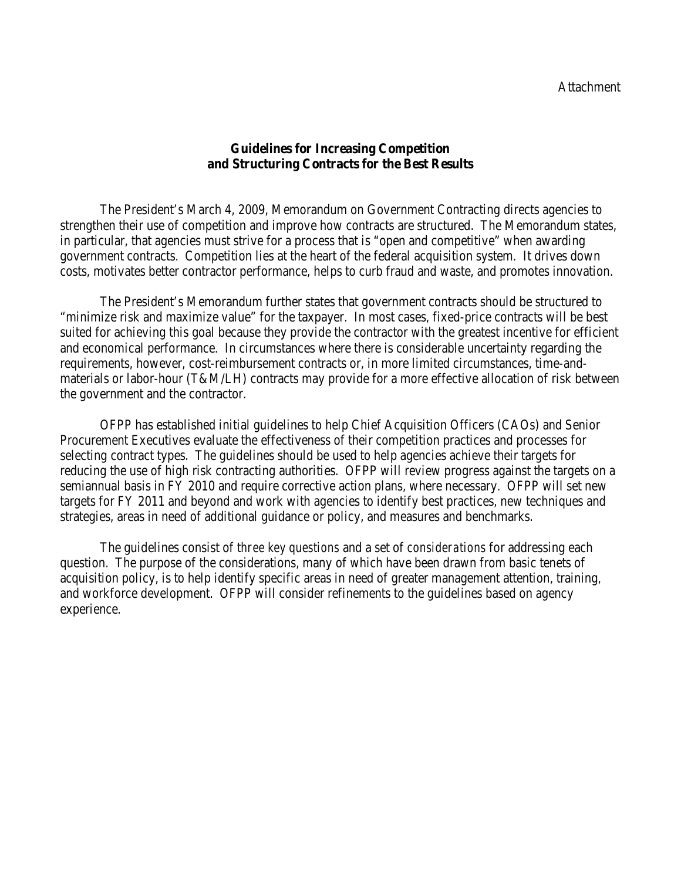### **Guidelines for Increasing Competition and Structuring Contracts for the Best Results**

The President's March 4, 2009, Memorandum on Government Contracting directs agencies to strengthen their use of competition and improve how contracts are structured. The Memorandum states, in particular, that agencies must strive for a process that is "open and competitive" when awarding government contracts. Competition lies at the heart of the federal acquisition system. It drives down costs, motivates better contractor performance, helps to curb fraud and waste, and promotes innovation.

The President's Memorandum further states that government contracts should be structured to "minimize risk and maximize value" for the taxpayer. In most cases, fixed-price contracts will be best suited for achieving this goal because they provide the contractor with the greatest incentive for efficient and economical performance. In circumstances where there is considerable uncertainty regarding the requirements, however, cost-reimbursement contracts or, in more limited circumstances, time-andmaterials or labor-hour (T&M/LH) contracts may provide for a more effective allocation of risk between the government and the contractor.

OFPP has established initial guidelines to help Chief Acquisition Officers (CAOs) and Senior Procurement Executives evaluate the effectiveness of their competition practices and processes for selecting contract types. The guidelines should be used to help agencies achieve their targets for reducing the use of high risk contracting authorities. OFPP will review progress against the targets on a semiannual basis in FY 2010 and require corrective action plans, where necessary. OFPP will set new targets for FY 2011 and beyond and work with agencies to identify best practices, new techniques and strategies, areas in need of additional guidance or policy, and measures and benchmarks.

The guidelines consist of *three key questions* and a set of *considerations* for addressing each question. The purpose of the considerations, many of which have been drawn from basic tenets of acquisition policy, is to help identify specific areas in need of greater management attention, training, and workforce development. OFPP will consider refinements to the guidelines based on agency experience.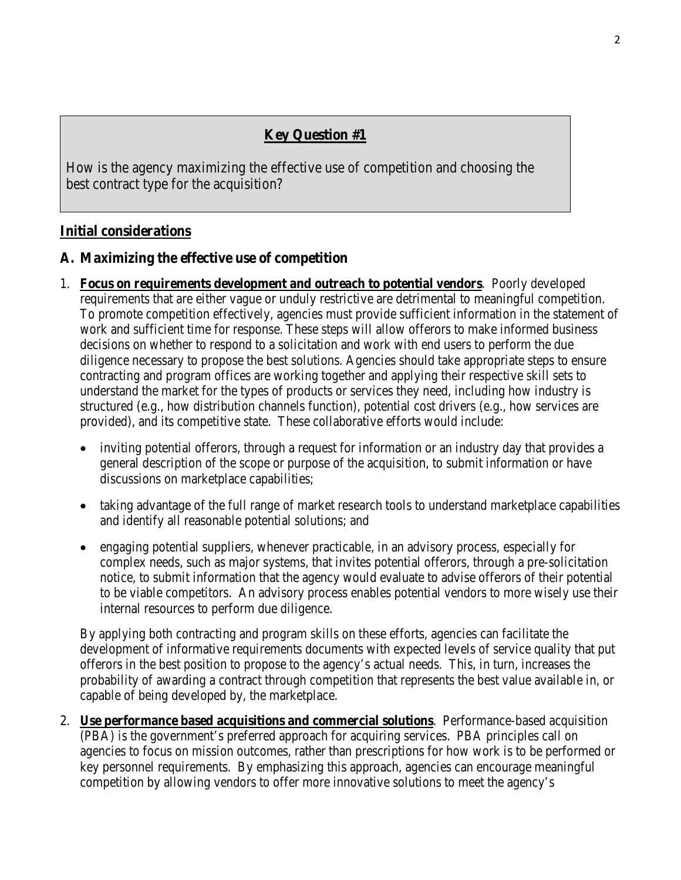# **Key Question #1**

How is the agency maximizing the effective use of competition and choosing the best contract type for the acquisition?

### **Initial considerations**

### **A. Maximizing the effective use of competition**

- 1. **Focus on requirements development and outreach to potential vendors**. Poorly developed requirements that are either vague or unduly restrictive are detrimental to meaningful competition. To promote competition effectively, agencies must provide sufficient information in the statement of work and sufficient time for response. These steps will allow offerors to make informed business decisions on whether to respond to a solicitation and work with end users to perform the due diligence necessary to propose the best solutions. Agencies should take appropriate steps to ensure contracting and program offices are working together and applying their respective skill sets to understand the market for the types of products or services they need, including how industry is structured (e.g., how distribution channels function), potential cost drivers (e.g., how services are provided), and its competitive state. These collaborative efforts would include:
	- inviting potential offerors, through a request for information or an industry day that provides a general description of the scope or purpose of the acquisition, to submit information or have discussions on marketplace capabilities;
	- taking advantage of the full range of market research tools to understand marketplace capabilities and identify all reasonable potential solutions; and
	- engaging potential suppliers, whenever practicable, in an advisory process, especially for complex needs, such as major systems, that invites potential offerors, through a pre-solicitation notice, to submit information that the agency would evaluate to advise offerors of their potential to be viable competitors. An advisory process enables potential vendors to more wisely use their internal resources to perform due diligence.

By applying both contracting and program skills on these efforts, agencies can facilitate the development of informative requirements documents with expected levels of service quality that put offerors in the best position to propose to the agency's actual needs. This, in turn, increases the probability of awarding a contract through competition that represents the best value available in, or capable of being developed by, the marketplace.

2. **Use performance based acquisitions and commercial solutions**. Performance-based acquisition (PBA) is the government's preferred approach for acquiring services. PBA principles call on agencies to focus on mission outcomes, rather than prescriptions for how work is to be performed or key personnel requirements. By emphasizing this approach, agencies can encourage meaningful competition by allowing vendors to offer more innovative solutions to meet the agency's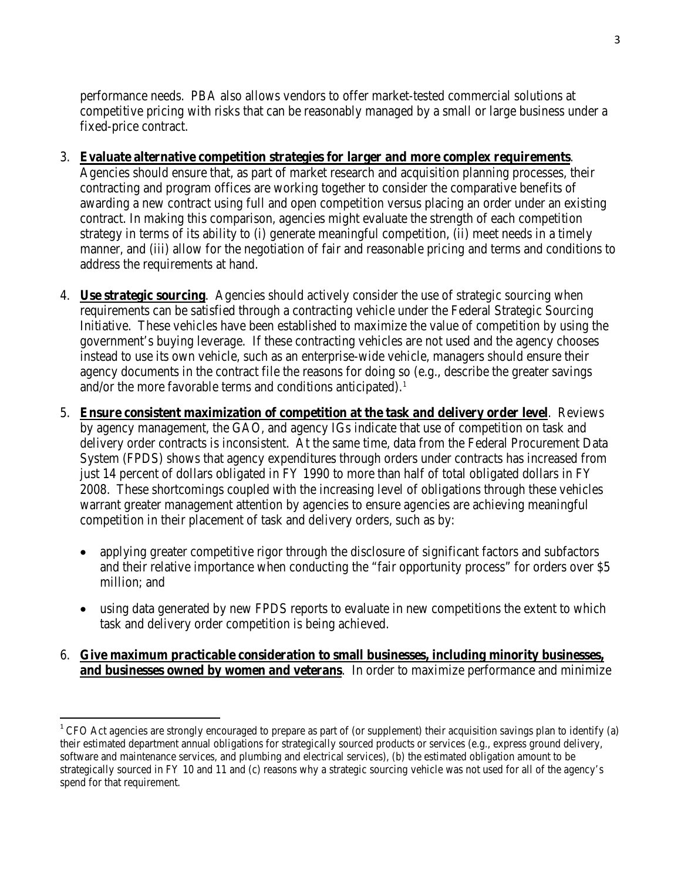performance needs. PBA also allows vendors to offer market-tested commercial solutions at competitive pricing with risks that can be reasonably managed by a small or large business under a fixed-price contract.

#### 3. **Evaluate alternative competition strategies for larger and more complex requirements**.

Agencies should ensure that, as part of market research and acquisition planning processes, their contracting and program offices are working together to consider the comparative benefits of awarding a new contract using full and open competition versus placing an order under an existing contract. In making this comparison, agencies might evaluate the strength of each competition strategy in terms of its ability to (i) generate meaningful competition, (ii) meet needs in a timely manner, and (iii) allow for the negotiation of fair and reasonable pricing and terms and conditions to address the requirements at hand.

- 4. **Use strategic sourcing**. Agencies should actively consider the use of strategic sourcing when requirements can be satisfied through a contracting vehicle under the Federal Strategic Sourcing Initiative. These vehicles have been established to maximize the value of competition by using the government's buying leverage. If these contracting vehicles are not used and the agency chooses instead to use its own vehicle, such as an enterprise-wide vehicle, managers should ensure their agency documents in the contract file the reasons for doing so (e.g., describe the greater savings and/or the more favorable terms and conditions anticipated).<sup>[1](#page-4-0)</sup>
- 5. **Ensure consistent maximization of competition at the task and delivery order level**. Reviews by agency management, the GAO, and agency IGs indicate that use of competition on task and delivery order contracts is inconsistent. At the same time, data from the Federal Procurement Data System (FPDS) shows that agency expenditures through orders under contracts has increased from just 14 percent of dollars obligated in FY 1990 to more than half of total obligated dollars in FY 2008. These shortcomings coupled with the increasing level of obligations through these vehicles warrant greater management attention by agencies to ensure agencies are achieving meaningful competition in their placement of task and delivery orders, such as by:
	- applying greater competitive rigor through the disclosure of significant factors and subfactors and their relative importance when conducting the "fair opportunity process" for orders over \$5 million; and
	- using data generated by new FPDS reports to evaluate in new competitions the extent to which task and delivery order competition is being achieved.

### 6. **Give maximum practicable consideration to small businesses, including minority businesses, and businesses owned by women and veterans**. In order to maximize performance and minimize

l

<span id="page-4-0"></span><sup>&</sup>lt;sup>1</sup> CFO Act agencies are strongly encouraged to prepare as part of (or supplement) their acquisition savings plan to identify (a) their estimated department annual obligations for strategically sourced products or services (e.g., express ground delivery, software and maintenance services, and plumbing and electrical services), (b) the estimated obligation amount to be strategically sourced in FY 10 and 11 and (c) reasons why a strategic sourcing vehicle was not used for all of the agency's spend for that requirement.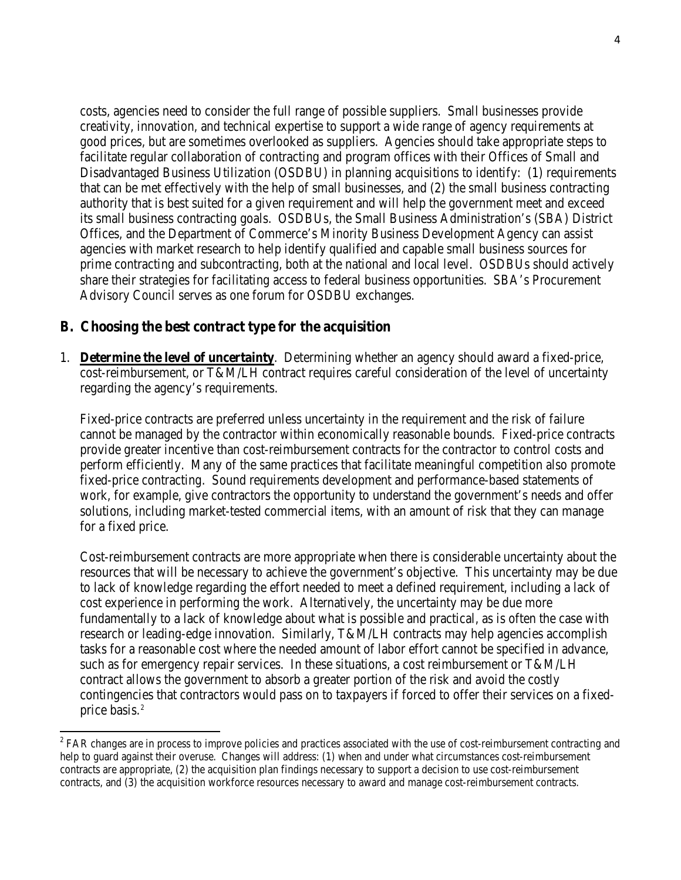costs, agencies need to consider the full range of possible suppliers. Small businesses provide creativity, innovation, and technical expertise to support a wide range of agency requirements at good prices, but are sometimes overlooked as suppliers. Agencies should take appropriate steps to facilitate regular collaboration of contracting and program offices with their Offices of Small and Disadvantaged Business Utilization (OSDBU) in planning acquisitions to identify: (1) requirements that can be met effectively with the help of small businesses, and (2) the small business contracting authority that is best suited for a given requirement and will help the government meet and exceed its small business contracting goals. OSDBUs, the Small Business Administration's (SBA) District Offices, and the Department of Commerce's Minority Business Development Agency can assist agencies with market research to help identify qualified and capable small business sources for prime contracting and subcontracting, both at the national and local level. OSDBUs should actively share their strategies for facilitating access to federal business opportunities. SBA's Procurement Advisory Council serves as one forum for OSDBU exchanges.

### **B. Choosing the best contract type for the acquisition**

ı

1. **Determine the level of uncertainty**. Determining whether an agency should award a fixed-price, cost-reimbursement, or T&M/LH contract requires careful consideration of the level of uncertainty regarding the agency's requirements.

Fixed-price contracts are preferred unless uncertainty in the requirement and the risk of failure cannot be managed by the contractor within economically reasonable bounds. Fixed-price contracts provide greater incentive than cost-reimbursement contracts for the contractor to control costs and perform efficiently. Many of the same practices that facilitate meaningful competition also promote fixed-price contracting. Sound requirements development and performance-based statements of work, for example, give contractors the opportunity to understand the government's needs and offer solutions, including market-tested commercial items, with an amount of risk that they can manage for a fixed price.

Cost-reimbursement contracts are more appropriate when there is considerable uncertainty about the resources that will be necessary to achieve the government's objective. This uncertainty may be due to lack of knowledge regarding the effort needed to meet a defined requirement, including a lack of cost experience in performing the work. Alternatively, the uncertainty may be due more fundamentally to a lack of knowledge about what is possible and practical, as is often the case with research or leading-edge innovation. Similarly, T&M/LH contracts may help agencies accomplish tasks for a reasonable cost where the needed amount of labor effort cannot be specified in advance, such as for emergency repair services. In these situations, a cost reimbursement or T&M/LH contract allows the government to absorb a greater portion of the risk and avoid the costly contingencies that contractors would pass on to taxpayers if forced to offer their services on a fixed-price basis.<sup>[2](#page-5-0)</sup>

<span id="page-5-0"></span> $2$  FAR changes are in process to improve policies and practices associated with the use of cost-reimbursement contracting and help to guard against their overuse. Changes will address: (1) when and under what circumstances cost-reimbursement contracts are appropriate, (2) the acquisition plan findings necessary to support a decision to use cost-reimbursement contracts, and (3) the acquisition workforce resources necessary to award and manage cost-reimbursement contracts.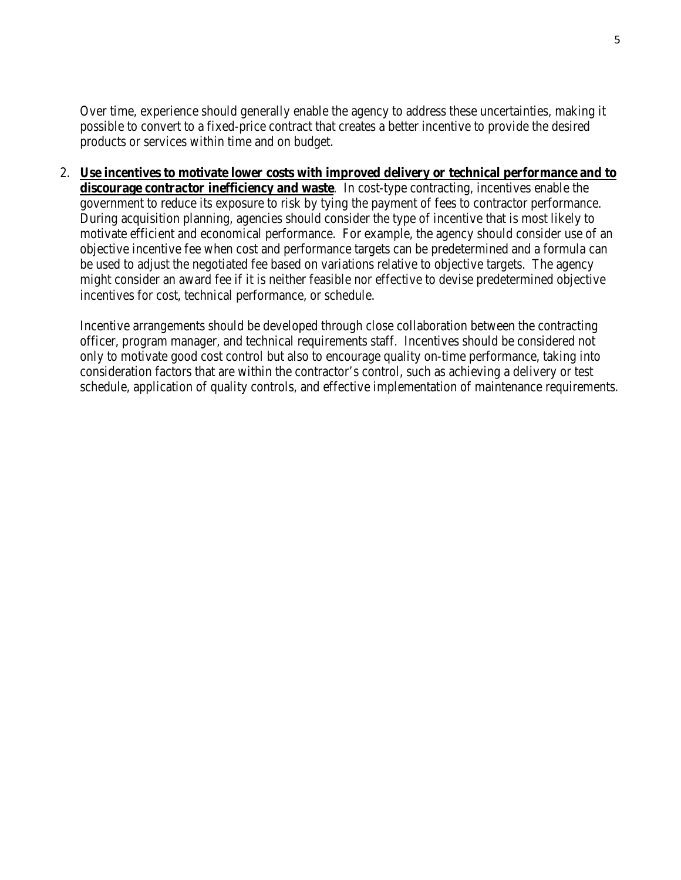Over time, experience should generally enable the agency to address these uncertainties, making it possible to convert to a fixed-price contract that creates a better incentive to provide the desired products or services within time and on budget.

2. **Use incentives to motivate lower costs with improved delivery or technical performance and to discourage contractor inefficiency and waste**. In cost-type contracting, incentives enable the government to reduce its exposure to risk by tying the payment of fees to contractor performance. During acquisition planning, agencies should consider the type of incentive that is most likely to motivate efficient and economical performance. For example, the agency should consider use of an objective incentive fee when cost and performance targets can be predetermined and a formula can be used to adjust the negotiated fee based on variations relative to objective targets. The agency might consider an award fee if it is neither feasible nor effective to devise predetermined objective incentives for cost, technical performance, or schedule.

Incentive arrangements should be developed through close collaboration between the contracting officer, program manager, and technical requirements staff. Incentives should be considered not only to motivate good cost control but also to encourage quality on-time performance, taking into consideration factors that are within the contractor's control, such as achieving a delivery or test schedule, application of quality controls, and effective implementation of maintenance requirements.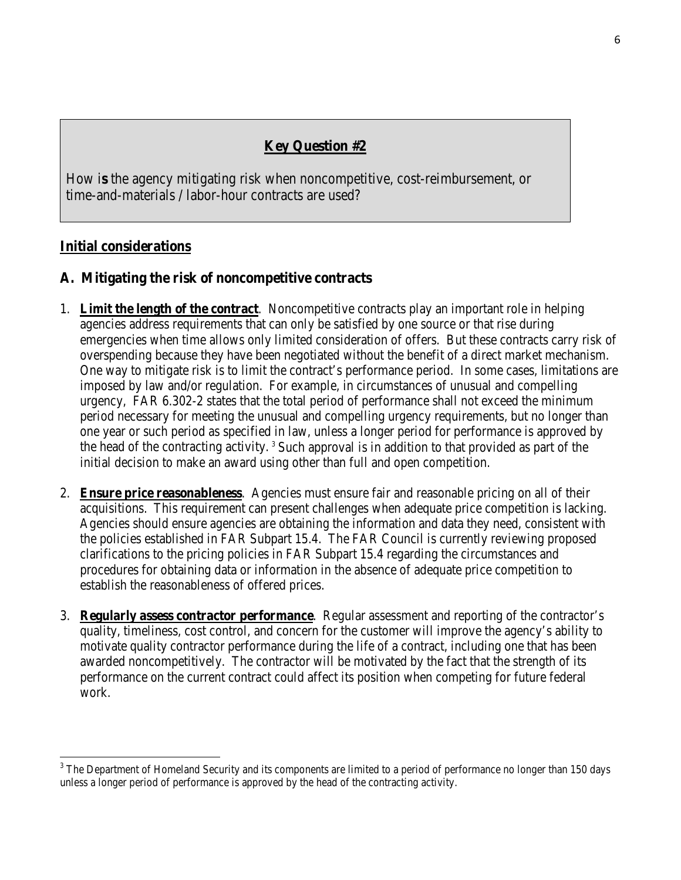# **Key Question #2**

How i**s** the agency mitigating risk when noncompetitive, cost-reimbursement, or time-and-materials / labor-hour contracts are used?

## **Initial considerations**

 $\overline{\phantom{0}}$ 

## **A. Mitigating the risk of noncompetitive contracts**

- 1. **Limit the length of the contract**. Noncompetitive contracts play an important role in helping agencies address requirements that can only be satisfied by one source or that rise during emergencies when time allows only limited consideration of offers. But these contracts carry risk of overspending because they have been negotiated without the benefit of a direct market mechanism. One way to mitigate risk is to limit the contract's performance period. In some cases, limitations are imposed by law and/or regulation. For example, in circumstances of unusual and compelling urgency, FAR 6.302-2 states that the total period of performance shall not exceed the minimum period necessary for meeting the unusual and compelling urgency requirements, but no longer than one year or such period as specified in law, unless a longer period for performance is approved by the head of the contracting activity.<sup>[3](#page-7-0)</sup> Such approval is in addition to that provided as part of the initial decision to make an award using other than full and open competition.
- 2. **Ensure price reasonableness**. Agencies must ensure fair and reasonable pricing on all of their acquisitions. This requirement can present challenges when adequate price competition is lacking. Agencies should ensure agencies are obtaining the information and data they need, consistent with the policies established in FAR Subpart 15.4. The FAR Council is currently reviewing proposed clarifications to the pricing policies in FAR Subpart 15.4 regarding the circumstances and procedures for obtaining data or information in the absence of adequate price competition to establish the reasonableness of offered prices.
- 3. **Regularly assess contractor performance**. Regular assessment and reporting of the contractor's quality, timeliness, cost control, and concern for the customer will improve the agency's ability to motivate quality contractor performance during the life of a contract, including one that has been awarded noncompetitively. The contractor will be motivated by the fact that the strength of its performance on the current contract could affect its position when competing for future federal work.

<span id="page-7-0"></span><sup>&</sup>lt;sup>3</sup> The Department of Homeland Security and its components are limited to a period of performance no longer than 150 days unless a longer period of performance is approved by the head of the contracting activity.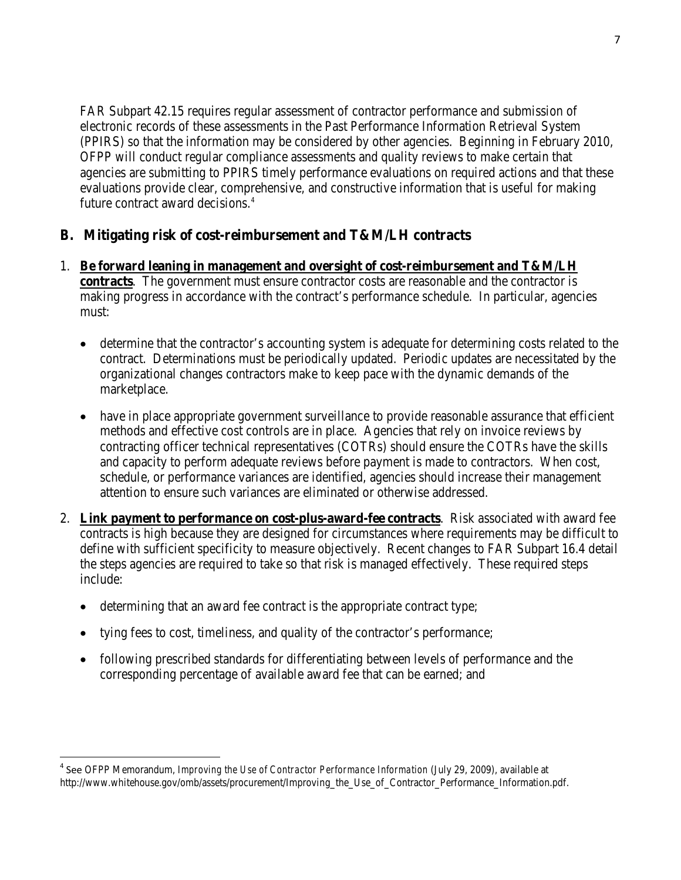FAR Subpart 42.15 requires regular assessment of contractor performance and submission of electronic records of these assessments in the Past Performance Information Retrieval System (PPIRS) so that the information may be considered by other agencies. Beginning in February 2010, OFPP will conduct regular compliance assessments and quality reviews to make certain that agencies are submitting to PPIRS timely performance evaluations on required actions and that these evaluations provide clear, comprehensive, and constructive information that is useful for making future contract award decisions.<sup>[4](#page-8-0)</sup>

## **B. Mitigating risk of cost-reimbursement and T&M/LH contracts**

- 1. **Be forward leaning in management and oversight of cost-reimbursement and T&M/LH contracts**. The government must ensure contractor costs are reasonable and the contractor is making progress in accordance with the contract's performance schedule. In particular, agencies must:
	- determine that the contractor's accounting system is adequate for determining costs related to the contract. Determinations must be periodically updated. Periodic updates are necessitated by the organizational changes contractors make to keep pace with the dynamic demands of the marketplace.
	- have in place appropriate government surveillance to provide reasonable assurance that efficient methods and effective cost controls are in place. Agencies that rely on invoice reviews by contracting officer technical representatives (COTRs) should ensure the COTRs have the skills and capacity to perform adequate reviews before payment is made to contractors. When cost, schedule, or performance variances are identified, agencies should increase their management attention to ensure such variances are eliminated or otherwise addressed.
- 2. **Link payment to performance on cost-plus-award-fee contracts**. Risk associated with award fee contracts is high because they are designed for circumstances where requirements may be difficult to define with sufficient specificity to measure objectively. Recent changes to FAR Subpart 16.4 detail the steps agencies are required to take so that risk is managed effectively. These required steps include:
	- determining that an award fee contract is the appropriate contract type;

ı

- tying fees to cost, timeliness, and quality of the contractor's performance;
- following prescribed standards for differentiating between levels of performance and the corresponding percentage of available award fee that can be earned; and

<span id="page-8-0"></span><sup>4</sup> See OFPP Memorandum, *Improving the Use of Contractor Performance Information* (July 29, 2009), available at http://www.whitehouse.gov/omb/assets/procurement/Improving\_the\_Use\_of\_Contractor\_Performance\_Information.pdf.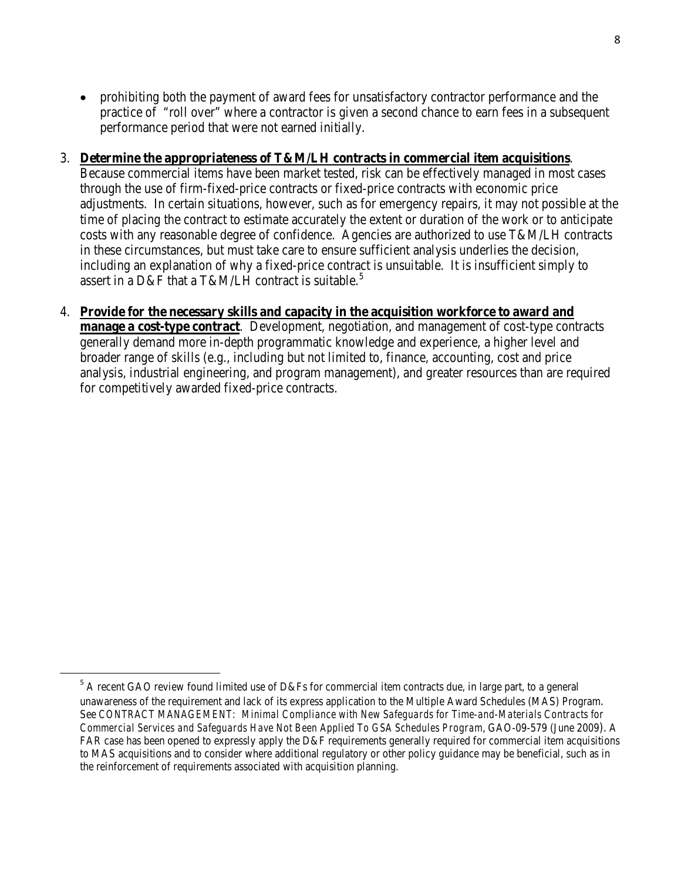• prohibiting both the payment of award fees for unsatisfactory contractor performance and the practice of "roll over" where a contractor is given a second chance to earn fees in a subsequent performance period that were not earned initially.

### 3. **Determine the appropriateness of T&M/LH contracts in commercial item acquisitions**.

Because commercial items have been market tested, risk can be effectively managed in most cases through the use of firm-fixed-price contracts or fixed-price contracts with economic price adjustments. In certain situations, however, such as for emergency repairs, it may not possible at the time of placing the contract to estimate accurately the extent or duration of the work or to anticipate costs with any reasonable degree of confidence. Agencies are authorized to use T&M/LH contracts in these circumstances, but must take care to ensure sufficient analysis underlies the decision, including an explanation of why a fixed-price contract is unsuitable. It is insufficient simply to assert in a D&F that a T&M/LH contract is suitable.<sup>[5](#page-9-0)</sup>

4. **Provide for the necessary skills and capacity in the acquisition workforce to award and manage a cost-type contract**.Development, negotiation, and management of cost-type contracts generally demand more in-depth programmatic knowledge and experience, a higher level and broader range of skills (e.g., including but not limited to, finance, accounting, cost and price analysis, industrial engineering, and program management), and greater resources than are required for competitively awarded fixed-price contracts.

<span id="page-9-0"></span> <sup>5</sup> A recent GAO review found limited use of D&Fs for commercial item contracts due, in large part, to a general unawareness of the requirement and lack of its express application to the Multiple Award Schedules (MAS) Program. See *CONTRACT MANAGEMENT: Minimal Compliance with New Safeguards for Time-and-Materials Contracts for Commercial Services and Safeguards Have Not Been Applied To GSA Schedules Program*, GAO-09-579 (June 2009). A FAR case has been opened to expressly apply the D&F requirements generally required for commercial item acquisitions to MAS acquisitions and to consider where additional regulatory or other policy guidance may be beneficial, such as in the reinforcement of requirements associated with acquisition planning.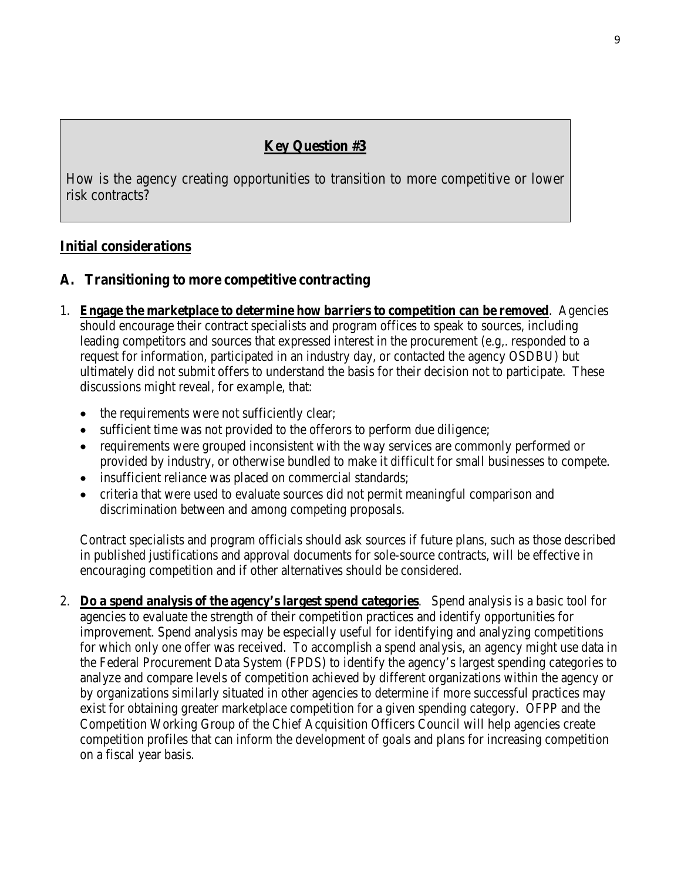# **Key Question #3**

How is the agency creating opportunities to transition to more competitive or lower risk contracts?

## **Initial considerations**

### **A. Transitioning to more competitive contracting**

- 1. **Engage the marketplace to determine how barriers to competition can be removed**. Agencies should encourage their contract specialists and program offices to speak to sources, including leading competitors and sources that expressed interest in the procurement (e.g,. responded to a request for information, participated in an industry day, or contacted the agency OSDBU) but ultimately did not submit offers to understand the basis for their decision not to participate. These discussions might reveal, for example, that:
	- the requirements were not sufficiently clear;
	- sufficient time was not provided to the offerors to perform due diligence;
	- requirements were grouped inconsistent with the way services are commonly performed or provided by industry, or otherwise bundled to make it difficult for small businesses to compete.
	- insufficient reliance was placed on commercial standards;
	- criteria that were used to evaluate sources did not permit meaningful comparison and discrimination between and among competing proposals.

Contract specialists and program officials should ask sources if future plans, such as those described in published justifications and approval documents for sole-source contracts, will be effective in encouraging competition and if other alternatives should be considered.

2. **Do a spend analysis of the agency's largest spend categories**. Spend analysis is a basic tool for agencies to evaluate the strength of their competition practices and identify opportunities for improvement. Spend analysis may be especially useful for identifying and analyzing competitions for which only one offer was received. To accomplish a spend analysis, an agency might use data in the Federal Procurement Data System (FPDS) to identify the agency's largest spending categories to analyze and compare levels of competition achieved by different organizations within the agency or by organizations similarly situated in other agencies to determine if more successful practices may exist for obtaining greater marketplace competition for a given spending category. OFPP and the Competition Working Group of the Chief Acquisition Officers Council will help agencies create competition profiles that can inform the development of goals and plans for increasing competition on a fiscal year basis.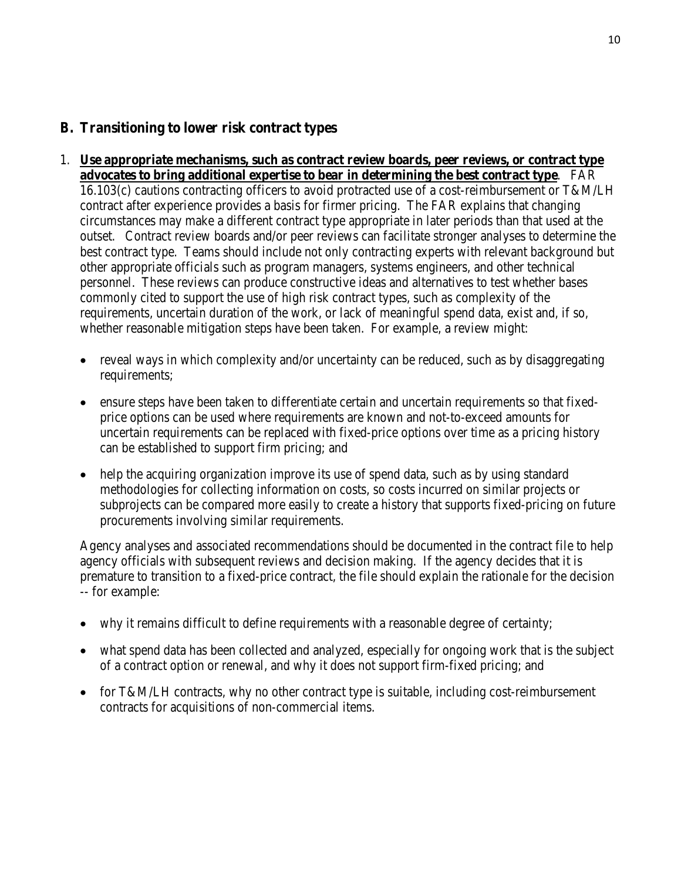## **B. Transitioning to lower risk contract types**

1. **Use appropriate mechanisms, such as contract review boards, peer reviews, or contract type advocates to bring additional expertise to bear in determining the best contract type**. FAR

16.103(c) cautions contracting officers to avoid protracted use of a cost-reimbursement or T&M/LH contract after experience provides a basis for firmer pricing. The FAR explains that changing circumstances may make a different contract type appropriate in later periods than that used at the outset. Contract review boards and/or peer reviews can facilitate stronger analyses to determine the best contract type. Teams should include not only contracting experts with relevant background but other appropriate officials such as program managers, systems engineers, and other technical personnel. These reviews can produce constructive ideas and alternatives to test whether bases commonly cited to support the use of high risk contract types, such as complexity of the requirements, uncertain duration of the work, or lack of meaningful spend data, exist and, if so, whether reasonable mitigation steps have been taken. For example, a review might:

- reveal ways in which complexity and/or uncertainty can be reduced, such as by disaggregating requirements;
- ensure steps have been taken to differentiate certain and uncertain requirements so that fixedprice options can be used where requirements are known and not-to-exceed amounts for uncertain requirements can be replaced with fixed-price options over time as a pricing history can be established to support firm pricing; and
- help the acquiring organization improve its use of spend data, such as by using standard methodologies for collecting information on costs, so costs incurred on similar projects or subprojects can be compared more easily to create a history that supports fixed-pricing on future procurements involving similar requirements.

Agency analyses and associated recommendations should be documented in the contract file to help agency officials with subsequent reviews and decision making. If the agency decides that it is premature to transition to a fixed-price contract, the file should explain the rationale for the decision -- for example:

- why it remains difficult to define requirements with a reasonable degree of certainty;
- what spend data has been collected and analyzed, especially for ongoing work that is the subject of a contract option or renewal, and why it does not support firm-fixed pricing; and
- for T&M/LH contracts, why no other contract type is suitable, including cost-reimbursement contracts for acquisitions of non-commercial items.